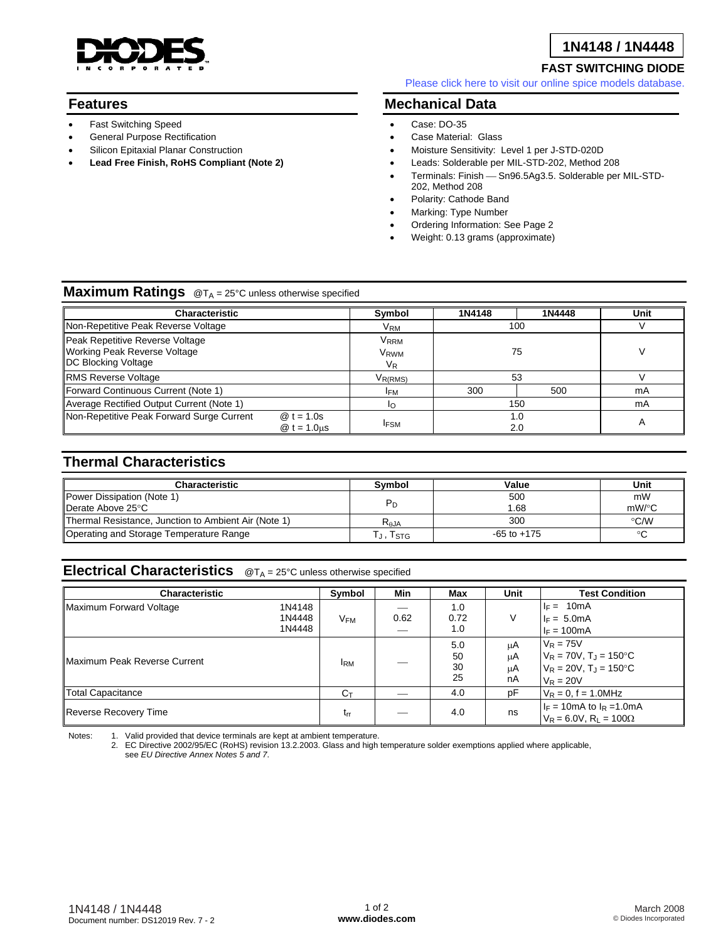

## **1N4148 / 1N4448**

## **FAST SWITCHING DIODE**

[Please click here to visit our online spice models database.](http://www.diodes.com/products/spicemodels/index.php)

## **Features**

- Fast Switching Speed
- General Purpose Rectification
- Silicon Epitaxial Planar Construction
- **Lead Free Finish, RoHS Compliant (Note 2)**

**Mechanical Data** 

- Case: DO-35
- Case Material: Glass
- Moisture Sensitivity: Level 1 per J-STD-020D
- Leads: Solderable per MIL-STD-202, Method 208
- Terminals: Finish Sn96.5Ag3.5. Solderable per MIL-STD-202, Method 208
- Polarity: Cathode Band
- Marking: Type Number
- Ordering Information: See Page 2
- Weight: 0.13 grams (approximate)

## **Maximum Ratings** @T<sub>A</sub> = 25°C unless otherwise specified

| <b>Characteristic</b>                                                                         |                              | Symbol                              | 1N4148     | 1N4448 | Unit |
|-----------------------------------------------------------------------------------------------|------------------------------|-------------------------------------|------------|--------|------|
| Non-Repetitive Peak Reverse Voltage                                                           |                              | V <sub>RM</sub>                     |            | 100    |      |
| Peak Repetitive Reverse Voltage<br><b>Working Peak Reverse Voltage</b><br>DC Blocking Voltage |                              | VRRM<br>V <sub>RWM</sub><br>$V_{R}$ | 75         |        |      |
| <b>RMS Reverse Voltage</b>                                                                    |                              | V <sub>R(RMS)</sub>                 | 53         |        |      |
| Forward Continuous Current (Note 1)                                                           |                              | <b>IFM</b>                          | 300        | 500    | mA   |
| Average Rectified Output Current (Note 1)                                                     |                              | ΙO                                  | 150        |        | mA   |
| Non-Repetitive Peak Forward Surge Current                                                     | $@t = 1.0s$<br>$@t = 1.0$ us | <b>IFSM</b>                         | 1.0<br>2.0 |        | А    |

## **Thermal Characteristics**

| <b>Characteristic</b>                                | Symbol         | Value           | Unit     |
|------------------------------------------------------|----------------|-----------------|----------|
| Power Dissipation (Note 1)                           |                | 500             | mW       |
| Derate Above 25°C                                    | $P_D$          | 1.68            | $mW$ /°C |
| Thermal Resistance, Junction to Ambient Air (Note 1) | $R_{\theta$ JA | 300             | °C/W     |
| Operating and Storage Temperature Range              | Гј, Tsтg       | $-65$ to $+175$ | $\sim$   |

# **Electrical Characteristics** @T<sub>A</sub> = 25°C unless otherwise specified

| <b>Characteristic</b>                |                            | Symbol          | Min  | Max                   | Unit                 | <b>Test Condition</b>                                                                                    |
|--------------------------------------|----------------------------|-----------------|------|-----------------------|----------------------|----------------------------------------------------------------------------------------------------------|
| Maximum Forward Voltage              | 1N4148<br>1N4448<br>1N4448 | V <sub>FM</sub> | 0.62 | 1.0<br>0.72<br>1.0    | V                    | $I_F = 10mA$<br>$I_F = 5.0mA$<br>$I_F = 100mA$                                                           |
| <b>IMaximum Peak Reverse Current</b> |                            | <b>IRM</b>      |      | 5.0<br>50<br>30<br>25 | μA<br>μA<br>μA<br>nA | $V_R = 75V$<br>$V_R = 70V$ , T <sub>J</sub> = 150°C<br>$V_R = 20V$ , $T_J = 150^{\circ}C$<br>$V_R = 20V$ |
| Total Capacitance                    |                            | $C_T$           |      | 4.0                   | pF                   | $V_R = 0$ , f = 1.0MHz                                                                                   |
| Reverse Recovery Time                |                            | $t_{rr}$        |      | 4.0                   | ns                   | $I_F = 10 \text{mA}$ to $I_R = 1.0 \text{mA}$<br>$V_R = 6.0V$ , $R_1 = 100\Omega$                        |

Notes: 1. Valid provided that device terminals are kept at ambient temperature.

2. EC Directive 2002/95/EC (RoHS) revision 13.2.2003. Glass and high temperature solder exemptions applied where applicable, see *EU Directive Annex Notes 5 and 7*.